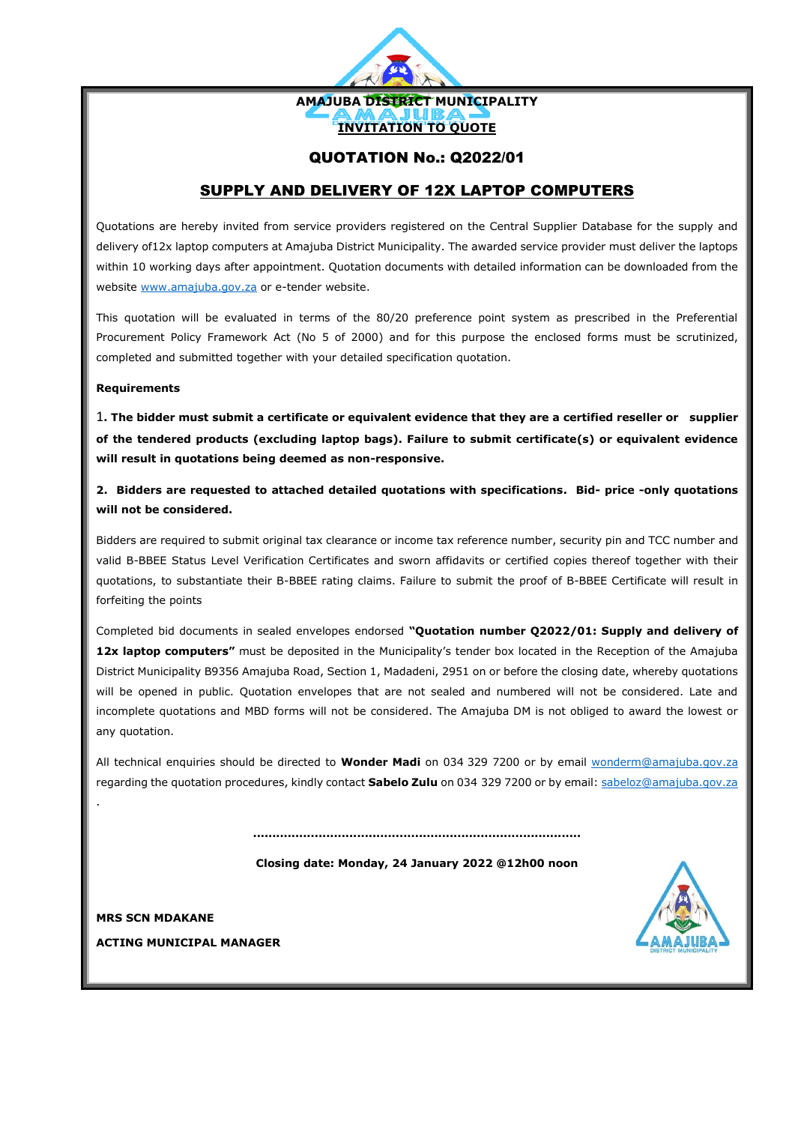

### QUOTATION No.: Q2022/01

## SUPPLY AND DELIVERY OF 12X LAPTOP COMPUTERS

Quotations are hereby invited from service providers registered on the Central Supplier Database for the supply and delivery of12x laptop computers at Amajuba District Municipality. The awarded service provider must deliver the laptops within 10 working days after appointment. Quotation documents with detailed information can be downloaded from the website [www.amajuba.gov.za](http://www.amajuba.gov.za/) or e-tender website.

This quotation will be evaluated in terms of the 80/20 preference point system as prescribed in the Preferential Procurement Policy Framework Act (No 5 of 2000) and for this purpose the enclosed forms must be scrutinized, completed and submitted together with your detailed specification quotation.

#### **Requirements**

1**. The bidder must submit a certificate or equivalent evidence that they are a certified reseller or supplier of the tendered products (excluding laptop bags). Failure to submit certificate(s) or equivalent evidence will result in quotations being deemed as non-responsive.**

**2. Bidders are requested to attached detailed quotations with specifications. Bid- price -only quotations will not be considered.**

Bidders are required to submit original tax clearance or income tax reference number, security pin and TCC number and valid B-BBEE Status Level Verification Certificates and sworn affidavits or certified copies thereof together with their quotations, to substantiate their B-BBEE rating claims. Failure to submit the proof of B-BBEE Certificate will result in forfeiting the points

Completed bid documents in sealed envelopes endorsed **"Quotation number Q2022/01: Supply and delivery of** 12x laptop computers" must be deposited in the Municipality's tender box located in the Reception of the Amajuba District Municipality B9356 Amajuba Road, Section 1, Madadeni, 2951 on or before the closing date, whereby quotations will be opened in public. Quotation envelopes that are not sealed and numbered will not be considered. Late and incomplete quotations and MBD forms will not be considered. The Amajuba DM is not obliged to award the lowest or any quotation.

All technical enquiries should be directed to **Wonder Madi** on 034 329 7200 or by email [wonderm@amajuba.gov.za](mailto:wonderm@amajuba.gov.za/) regarding the quotation procedures, kindly contact **Sabelo Zulu** on 034 329 7200 or by email[: sabeloz@amajuba.gov.za](mailto:sabeloz@amajuba.gov.za)

**.....................................................................................**

**Closing date: Monday, 24 January 2022 @12h00 noon**



.

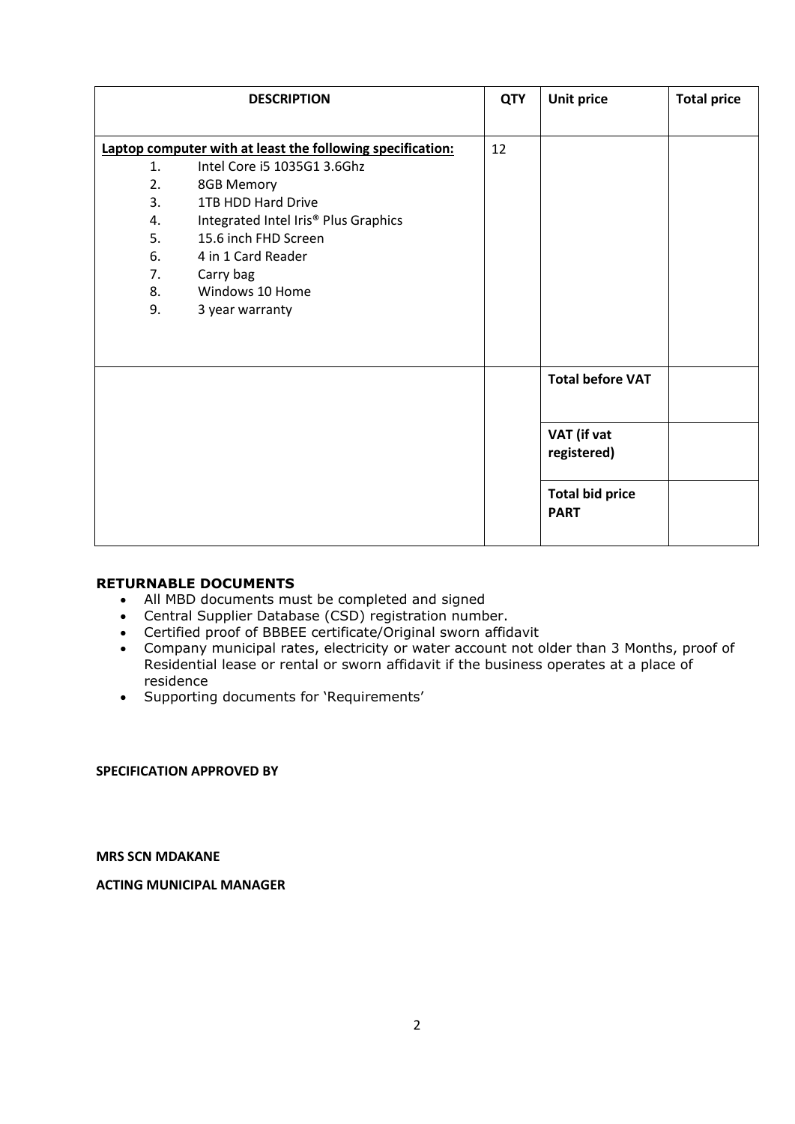## **RETURNABLE DOCUMENTS**

- All MBD documents must be completed and signed
- Central Supplier Database (CSD) registration number.
- Certified proof of BBBEE certificate/Original sworn affidavit
- Company municipal rates, electricity or water account not older than 3 Months, proof of Residential lease or rental or sworn affidavit if the business operates at a place of residence
- Supporting documents for 'Requirements'

**SPECIFICATION APPROVED BY**

**MRS SCN MDAKANE**

**ACTING MUNICIPAL MANAGER**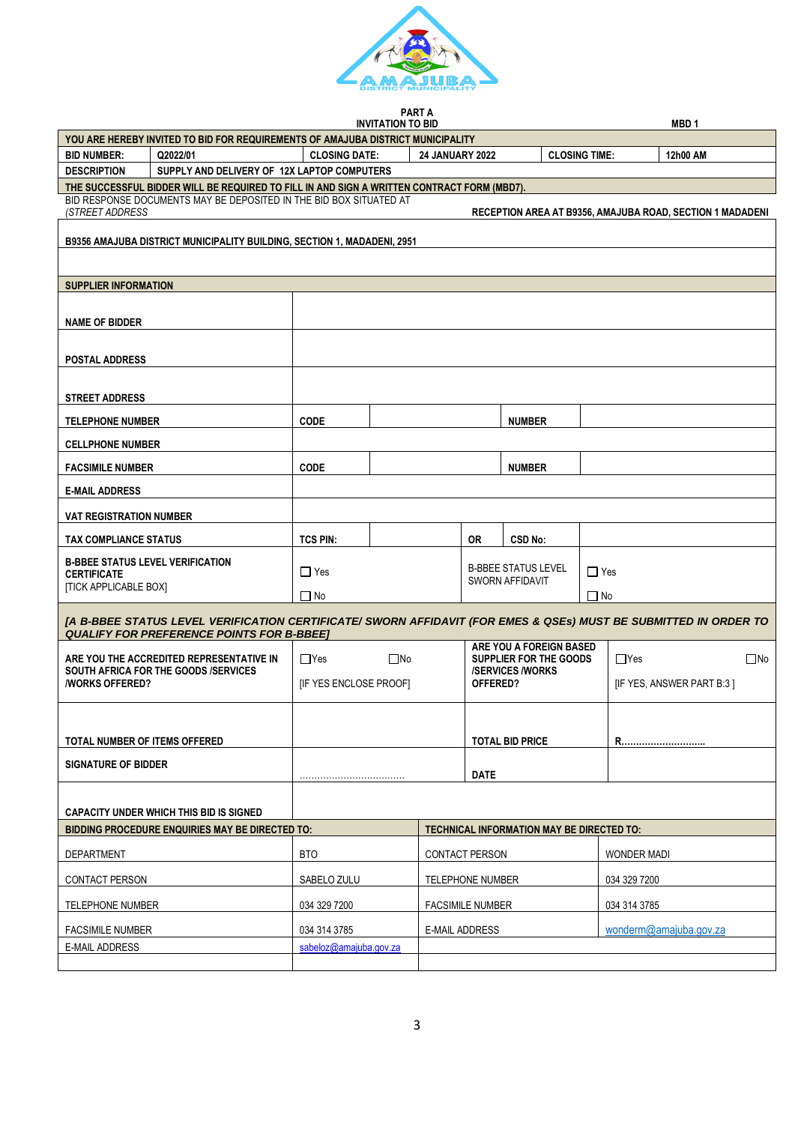

|                   | PART A |  |  |
|-------------------|--------|--|--|
| חום חד וגחודגדו/ו |        |  |  |

|                                                                                                          |                                                                                            |                                                           | <b>INVITATION TO BID</b>                        |          |                                    |                                                   |            | MBD <sub>1</sub>                                                                                                 |  |
|----------------------------------------------------------------------------------------------------------|--------------------------------------------------------------------------------------------|-----------------------------------------------------------|-------------------------------------------------|----------|------------------------------------|---------------------------------------------------|------------|------------------------------------------------------------------------------------------------------------------|--|
| YOU ARE HEREBY INVITED TO BID FOR REQUIREMENTS OF AMAJUBA DISTRICT MUNICIPALITY                          |                                                                                            |                                                           |                                                 |          |                                    |                                                   |            |                                                                                                                  |  |
| <b>BID NUMBER:</b><br>Q2022/01<br><b>CLOSING DATE:</b><br><b>24 JANUARY 2022</b><br><b>CLOSING TIME:</b> |                                                                                            |                                                           |                                                 | 12h00 AM |                                    |                                                   |            |                                                                                                                  |  |
| <b>DESCRIPTION</b>                                                                                       | SUPPLY AND DELIVERY OF 12X LAPTOP COMPUTERS                                                |                                                           |                                                 |          |                                    |                                                   |            |                                                                                                                  |  |
|                                                                                                          | THE SUCCESSFUL BIDDER WILL BE REQUIRED TO FILL IN AND SIGN A WRITTEN CONTRACT FORM (MBD7). |                                                           |                                                 |          |                                    |                                                   |            |                                                                                                                  |  |
| <b>(STREET ADDRESS</b>                                                                                   | BID RESPONSE DOCUMENTS MAY BE DEPOSITED IN THE BID BOX SITUATED AT                         |                                                           |                                                 |          |                                    |                                                   |            | RECEPTION AREA AT B9356, AMAJUBA ROAD, SECTION 1 MADADENI                                                        |  |
|                                                                                                          | <b>B9356 AMAJUBA DISTRICT MUNICIPALITY BUILDING, SECTION 1, MADADENI, 2951</b>             |                                                           |                                                 |          |                                    |                                                   |            |                                                                                                                  |  |
|                                                                                                          |                                                                                            |                                                           |                                                 |          |                                    |                                                   |            |                                                                                                                  |  |
| <b>SUPPLIER INFORMATION</b>                                                                              |                                                                                            |                                                           |                                                 |          |                                    |                                                   |            |                                                                                                                  |  |
|                                                                                                          |                                                                                            |                                                           |                                                 |          |                                    |                                                   |            |                                                                                                                  |  |
| <b>NAME OF BIDDER</b>                                                                                    |                                                                                            |                                                           |                                                 |          |                                    |                                                   |            |                                                                                                                  |  |
| <b>POSTAL ADDRESS</b>                                                                                    |                                                                                            |                                                           |                                                 |          |                                    |                                                   |            |                                                                                                                  |  |
| <b>STREET ADDRESS</b>                                                                                    |                                                                                            |                                                           |                                                 |          |                                    |                                                   |            |                                                                                                                  |  |
| <b>TELEPHONE NUMBER</b>                                                                                  |                                                                                            | <b>CODE</b>                                               |                                                 |          |                                    | <b>NUMBER</b>                                     |            |                                                                                                                  |  |
| <b>CELLPHONE NUMBER</b>                                                                                  |                                                                                            |                                                           |                                                 |          |                                    |                                                   |            |                                                                                                                  |  |
| <b>FACSIMILE NUMBER</b>                                                                                  |                                                                                            | <b>CODE</b>                                               |                                                 |          |                                    | <b>NUMBER</b>                                     |            |                                                                                                                  |  |
| <b>E-MAIL ADDRESS</b>                                                                                    |                                                                                            |                                                           |                                                 |          |                                    |                                                   |            |                                                                                                                  |  |
| <b>VAT REGISTRATION NUMBER</b>                                                                           |                                                                                            |                                                           |                                                 |          |                                    |                                                   |            |                                                                                                                  |  |
| <b>TAX COMPLIANCE STATUS</b>                                                                             |                                                                                            | <b>TCS PIN:</b>                                           |                                                 |          | <b>OR</b>                          | CSD No:                                           |            |                                                                                                                  |  |
| <b>B-BBEE STATUS LEVEL VERIFICATION</b><br><b>CERTIFICATE</b>                                            |                                                                                            | $\Box$ Yes                                                |                                                 |          |                                    | <b>B-BBEE STATUS LEVEL</b>                        | $\Box$ Yes |                                                                                                                  |  |
| <b>[TICK APPLICABLE BOX]</b>                                                                             |                                                                                            | $\Box$ No                                                 |                                                 |          |                                    | <b>SWORN AFFIDAVIT</b>                            | $\Box$ No  |                                                                                                                  |  |
|                                                                                                          |                                                                                            |                                                           |                                                 |          |                                    |                                                   |            |                                                                                                                  |  |
|                                                                                                          | <b>QUALIFY FOR PREFERENCE POINTS FOR B-BBEET</b>                                           |                                                           |                                                 |          |                                    |                                                   |            | [A B-BBEE STATUS LEVEL VERIFICATION CERTIFICATE/ SWORN AFFIDAVIT (FOR EMES & QSEs) MUST BE SUBMITTED IN ORDER TO |  |
|                                                                                                          | ARE YOU THE ACCREDITED REPRESENTATIVE IN                                                   | $\Box$ Yes                                                | $\square$ No                                    |          |                                    | ARE YOU A FOREIGN BASED<br>SUPPLIER FOR THE GOODS |            | $\square$ No<br>$\Box$ Yes                                                                                       |  |
| <b><i>INORKS OFFERED?</i></b>                                                                            | <b>SOUTH AFRICA FOR THE GOODS /SERVICES</b>                                                |                                                           | [IF YES ENCLOSE PROOF]                          |          | <b>/SERVICES/WORKS</b><br>OFFERED? |                                                   |            | [IF YES, ANSWER PART B:3]                                                                                        |  |
|                                                                                                          |                                                                                            |                                                           |                                                 |          |                                    |                                                   |            |                                                                                                                  |  |
|                                                                                                          |                                                                                            |                                                           |                                                 |          |                                    |                                                   |            |                                                                                                                  |  |
| TOTAL NUMBER OF ITEMS OFFERED                                                                            |                                                                                            |                                                           |                                                 |          |                                    | <b>TOTAL BID PRICE</b>                            |            | R                                                                                                                |  |
| <b>SIGNATURE OF BIDDER</b>                                                                               |                                                                                            |                                                           |                                                 |          | <b>DATE</b>                        |                                                   |            |                                                                                                                  |  |
|                                                                                                          |                                                                                            |                                                           |                                                 |          |                                    |                                                   |            |                                                                                                                  |  |
|                                                                                                          | <b>CAPACITY UNDER WHICH THIS BID IS SIGNED</b>                                             |                                                           |                                                 |          |                                    |                                                   |            |                                                                                                                  |  |
|                                                                                                          | <b>BIDDING PROCEDURE ENQUIRIES MAY BE DIRECTED TO:</b>                                     |                                                           |                                                 |          |                                    | TECHNICAL INFORMATION MAY BE DIRECTED TO:         |            |                                                                                                                  |  |
| DEPARTMENT                                                                                               |                                                                                            | <b>BTO</b><br><b>CONTACT PERSON</b><br><b>WONDER MADI</b> |                                                 |          |                                    |                                                   |            |                                                                                                                  |  |
| <b>CONTACT PERSON</b>                                                                                    |                                                                                            | SABELO ZULU<br><b>TELEPHONE NUMBER</b><br>034 329 7200    |                                                 |          |                                    |                                                   |            |                                                                                                                  |  |
| TELEPHONE NUMBER                                                                                         |                                                                                            | 034 329 7200                                              |                                                 |          | <b>FACSIMILE NUMBER</b>            |                                                   |            | 034 314 3785                                                                                                     |  |
| <b>FACSIMILE NUMBER</b>                                                                                  |                                                                                            | 034 314 3785                                              | wonderm@amajuba.gov.za<br><b>E-MAIL ADDRESS</b> |          |                                    |                                                   |            |                                                                                                                  |  |
| <b>E-MAIL ADDRESS</b>                                                                                    |                                                                                            | sabeloz@amajuba.gov.za                                    |                                                 |          |                                    |                                                   |            |                                                                                                                  |  |
|                                                                                                          |                                                                                            |                                                           |                                                 |          |                                    |                                                   |            |                                                                                                                  |  |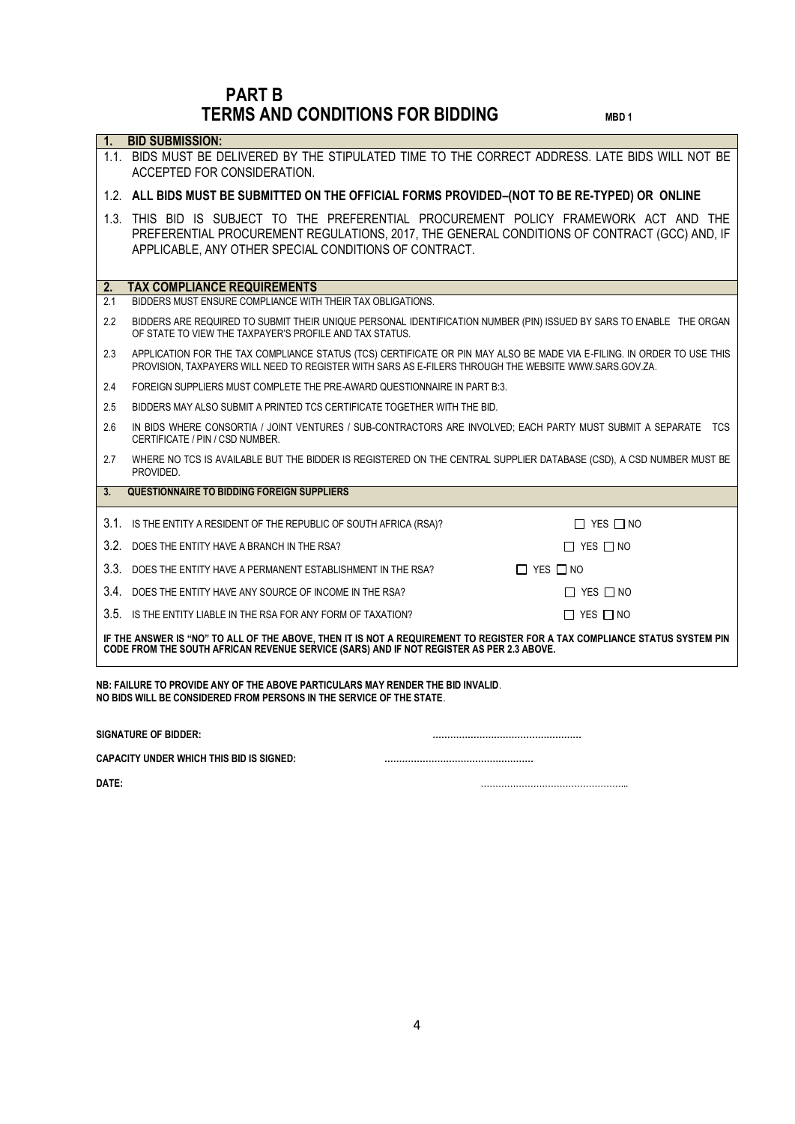# **PART B TERMS AND CONDITIONS FOR BIDDING MBD1**

| 1 <sub>1</sub> | <b>BID SUBMISSION:</b>                                                                                                                                                                                                                         |                      |
|----------------|------------------------------------------------------------------------------------------------------------------------------------------------------------------------------------------------------------------------------------------------|----------------------|
|                | 1.1. BIDS MUST BE DELIVERED BY THE STIPULATED TIME TO THE CORRECT ADDRESS. LATE BIDS WILL NOT BE<br>ACCEPTED FOR CONSIDERATION.                                                                                                                |                      |
|                | 1.2. ALL BIDS MUST BE SUBMITTED ON THE OFFICIAL FORMS PROVIDED-(NOT TO BE RE-TYPED) OR ONLINE                                                                                                                                                  |                      |
|                | 1.3. THIS BID IS SUBJECT TO THE PREFERENTIAL PROCUREMENT POLICY FRAMEWORK ACT AND THE<br>PREFERENTIAL PROCUREMENT REGULATIONS, 2017, THE GENERAL CONDITIONS OF CONTRACT (GCC) AND, IF<br>APPLICABLE, ANY OTHER SPECIAL CONDITIONS OF CONTRACT. |                      |
| 2.             | <b>TAX COMPLIANCE REQUIREMENTS</b>                                                                                                                                                                                                             |                      |
| 2.1            | BIDDERS MUST ENSURE COMPLIANCE WITH THEIR TAX OBLIGATIONS.                                                                                                                                                                                     |                      |
| 2.2            | BIDDERS ARE REQUIRED TO SUBMIT THEIR UNIQUE PERSONAL IDENTIFICATION NUMBER (PIN) ISSUED BY SARS TO ENABLE THE ORGAN<br>OF STATE TO VIEW THE TAXPAYER'S PROFILE AND TAX STATUS.                                                                 |                      |
| 2.3            | APPLICATION FOR THE TAX COMPLIANCE STATUS (TCS) CERTIFICATE OR PIN MAY ALSO BE MADE VIA E-FILING. IN ORDER TO USE THIS<br>PROVISION, TAXPAYERS WILL NEED TO REGISTER WITH SARS AS E-FILERS THROUGH THE WEBSITE WWW.SARS.GOV.ZA.                |                      |
| 2.4            | FOREIGN SUPPLIERS MUST COMPLETE THE PRE-AWARD QUESTIONNAIRE IN PART B:3.                                                                                                                                                                       |                      |
| 2.5            | BIDDERS MAY ALSO SUBMIT A PRINTED TCS CERTIFICATE TOGETHER WITH THE BID.                                                                                                                                                                       |                      |
| 2.6            | IN BIDS WHERE CONSORTIA / JOINT VENTURES / SUB-CONTRACTORS ARE INVOLVED; EACH PARTY MUST SUBMIT A SEPARATE TCS<br>CERTIFICATE / PIN / CSD NUMBER.                                                                                              |                      |
| 2.7            | WHERE NO TCS IS AVAILABLE BUT THE BIDDER IS REGISTERED ON THE CENTRAL SUPPLIER DATABASE (CSD), A CSD NUMBER MUST BE<br>PROVIDED.                                                                                                               |                      |
| 3.             | <b>QUESTIONNAIRE TO BIDDING FOREIGN SUPPLIERS</b>                                                                                                                                                                                              |                      |
|                | 3.1. IS THE ENTITY A RESIDENT OF THE REPUBLIC OF SOUTH AFRICA (RSA)?                                                                                                                                                                           | $\Box$ YES $\Box$ NO |
|                | 3.2. DOES THE ENTITY HAVE A BRANCH IN THE RSA?                                                                                                                                                                                                 | $\Box$ YES $\Box$ NO |
|                | 3.3. DOES THE ENTITY HAVE A PERMANENT ESTABLISHMENT IN THE RSA?                                                                                                                                                                                | $\Box$ YES $\Box$ NO |
|                | 3.4. DOES THE ENTITY HAVE ANY SOURCE OF INCOME IN THE RSA?                                                                                                                                                                                     | $\Box$ YES $\Box$ NO |
|                | 3.5. IS THE ENTITY LIABLE IN THE RSA FOR ANY FORM OF TAXATION?                                                                                                                                                                                 | $\Box$ YES $\Box$ NO |
|                | IF THE ANSWER IS "NO" TO ALL OF THE ABOVE, THEN IT IS NOT A REQUIREMENT TO REGISTER FOR A TAX COMPLIANCE STATUS SYSTEM PIN<br>CODE FROM THE SOUTH AFRICAN REVENUE SERVICE (SARS) AND IF NOT REGISTER AS PER 2.3 ABOVE.                         |                      |
|                | NB: FAILURE TO PROVIDE ANY OF THE ABOVE PARTICULARS MAY RENDER THE BID INVALID.<br>NO BIDS WILL BE CONSIDERED FROM PERSONS IN THE SERVICE OF THE STATE.                                                                                        |                      |
|                | <b>SIGNATURE OF BIDDER:</b>                                                                                                                                                                                                                    |                      |

**CAPACITY UNDER WHICH THIS BID IS SIGNED: ……………………………………………**

**DATE:** …………………………………………...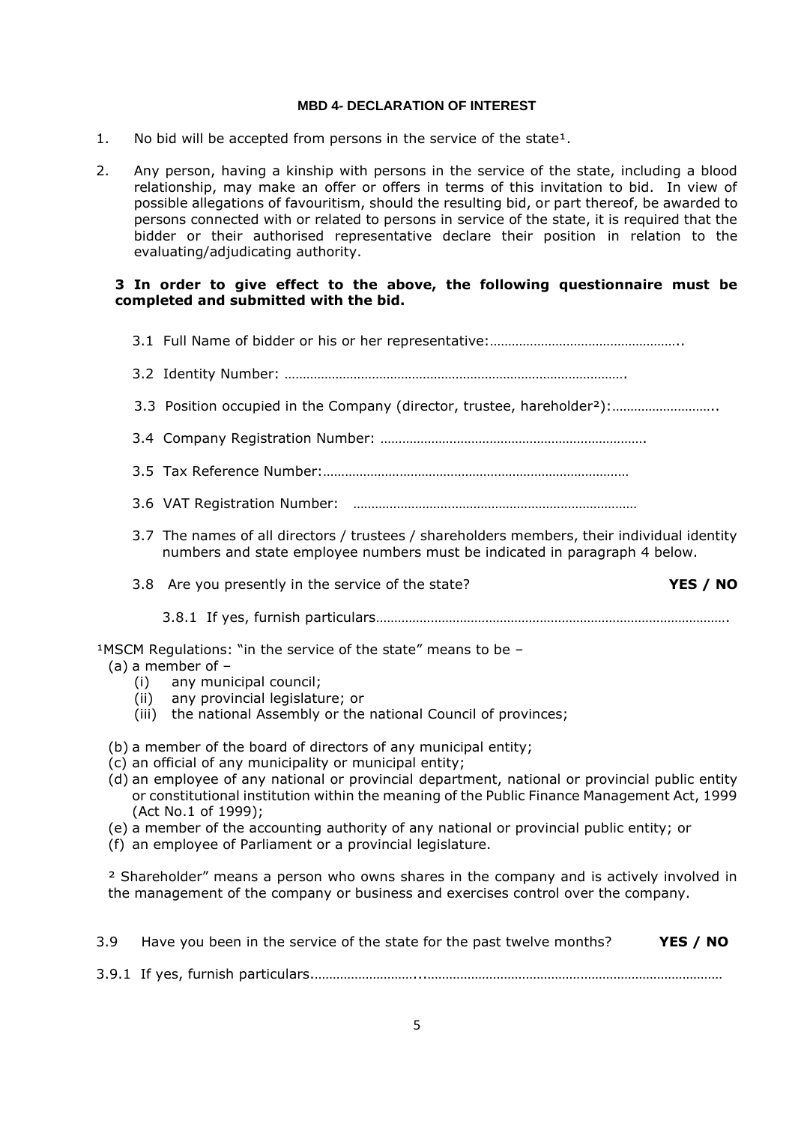#### **MBD 4- DECLARATION OF INTEREST**

- 1. No bid will be accepted from persons in the service of the state<sup>1</sup>.
- 2. Any person, having a kinship with persons in the service of the state, including a blood relationship, may make an offer or offers in terms of this invitation to bid. In view of possible allegations of favouritism, should the resulting bid, or part thereof, be awarded to persons connected with or related to persons in service of the state, it is required that the bidder or their authorised representative declare their position in relation to the evaluating/adjudicating authority.

#### **3 In order to give effect to the above, the following questionnaire must be completed and submitted with the bid.**

- 3.1 Full Name of bidder or his or her representative:……………………………………………..
- 3.2 Identity Number: ………………………………………………………………………………….
- 3.3 Position occupied in the Company (director, trustee, hareholder²):………………………..
- 3.4 Company Registration Number: ……………………………………………………………….
- 3.5 Tax Reference Number:…………………………………………………………………………
- 3.6 VAT Registration Number: ……………………………………………………………………
- 3.7 The names of all directors / trustees / shareholders members, their individual identity numbers and state employee numbers must be indicated in paragraph 4 below.
- 3.8 Are you presently in the service of the state? **YES / NO**

3.8.1 If yes, furnish particulars…………………………………………………………………………………….

 $1$ MSCM Regulations: "in the service of the state" means to be  $-$ 

- (a) a member of
	- (i) any municipal council;
	- (ii) any provincial legislature; or
	- (iii) the national Assembly or the national Council of provinces;
- (b) a member of the board of directors of any municipal entity;
- (c) an official of any municipality or municipal entity;
- (d) an employee of any national or provincial department, national or provincial public entity or constitutional institution within the meaning of the Public Finance Management Act, 1999 (Act No.1 of 1999);
- (e) a member of the accounting authority of any national or provincial public entity; or
- (f) an employee of Parliament or a provincial legislature.

² Shareholder" means a person who owns shares in the company and is actively involved in the management of the company or business and exercises control over the company.

| 3.9 | Have you been in the service of the state for the past twelve months? | YES / NO |
|-----|-----------------------------------------------------------------------|----------|
|     |                                                                       |          |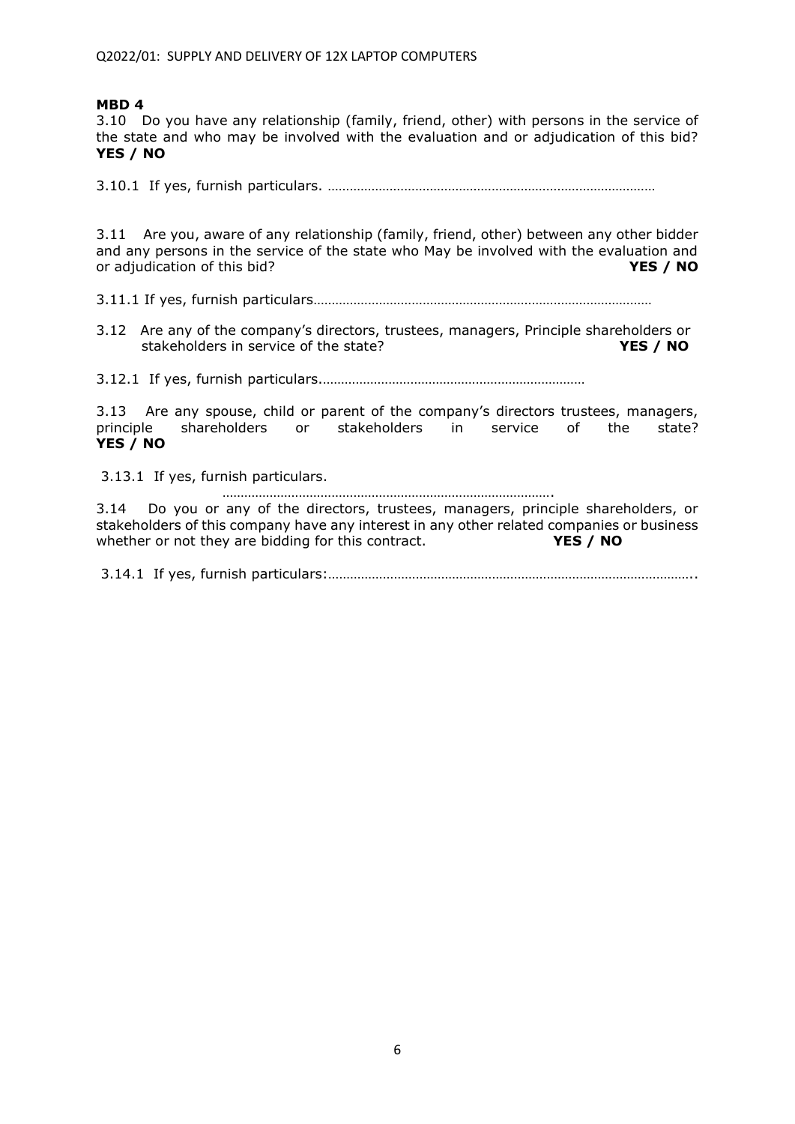3.10 Do you have any relationship (family, friend, other) with persons in the service of the state and who may be involved with the evaluation and or adjudication of this bid? **YES / NO**

3.10.1 If yes, furnish particulars. ………………………………………………………………………………

3.11 Are you, aware of any relationship (family, friend, other) between any other bidder and any persons in the service of the state who May be involved with the evaluation and or adjudication of this bid? **YES / NO**

3.11.1 If yes, furnish particulars…………………………………………………………………………………

3.12 Are any of the company's directors, trustees, managers, Principle shareholders or stakeholders in service of the state? **YES / NO** 

3.12.1 If yes, furnish particulars.………………………………………………………………

3.13 Are any spouse, child or parent of the company's directors trustees, managers, principle shareholders or stakeholders in service of the state? **YES / NO**

3.13.1 If yes, furnish particulars.

………………………………………………………………………………. 3.14 Do you or any of the directors, trustees, managers, principle shareholders, or stakeholders of this company have any interest in any other related companies or business whether or not they are bidding for this contract. **YES / NO** 

3.14.1 If yes, furnish particulars:………………………………………………………………………………………..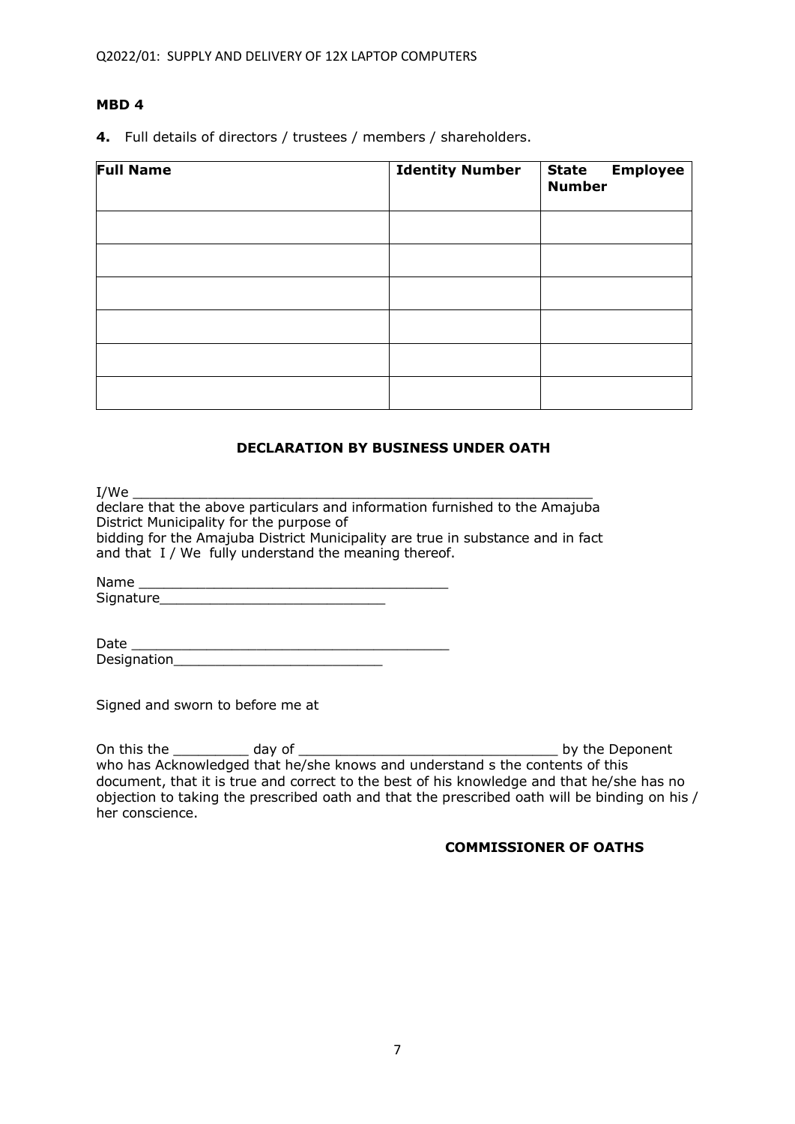**4.** Full details of directors / trustees / members / shareholders.

| <b>Full Name</b> | <b>Identity Number</b> | <b>Employee</b><br><b>State</b><br><b>Number</b> |
|------------------|------------------------|--------------------------------------------------|
|                  |                        |                                                  |
|                  |                        |                                                  |
|                  |                        |                                                  |
|                  |                        |                                                  |
|                  |                        |                                                  |
|                  |                        |                                                  |

## **DECLARATION BY BUSINESS UNDER OATH**

I/We \_\_\_\_\_\_\_\_\_\_\_\_\_\_\_\_\_\_\_\_\_\_\_\_\_\_\_\_\_\_\_\_\_\_\_\_\_\_\_\_\_\_\_\_\_\_\_\_\_\_\_\_\_\_\_

declare that the above particulars and information furnished to the Amajuba District Municipality for the purpose of bidding for the Amajuba District Municipality are true in substance and in fact and that I / We fully understand the meaning thereof.

Name Signature

| Date        |  |
|-------------|--|
| Designation |  |

Signed and sworn to before me at

On this the \_\_\_\_\_\_\_\_\_ day of \_\_\_\_\_\_\_\_\_\_\_\_\_\_\_\_\_\_\_\_\_\_\_\_\_\_\_\_\_\_\_ by the Deponent who has Acknowledged that he/she knows and understand s the contents of this document, that it is true and correct to the best of his knowledge and that he/she has no objection to taking the prescribed oath and that the prescribed oath will be binding on his / her conscience.

## **COMMISSIONER OF OATHS**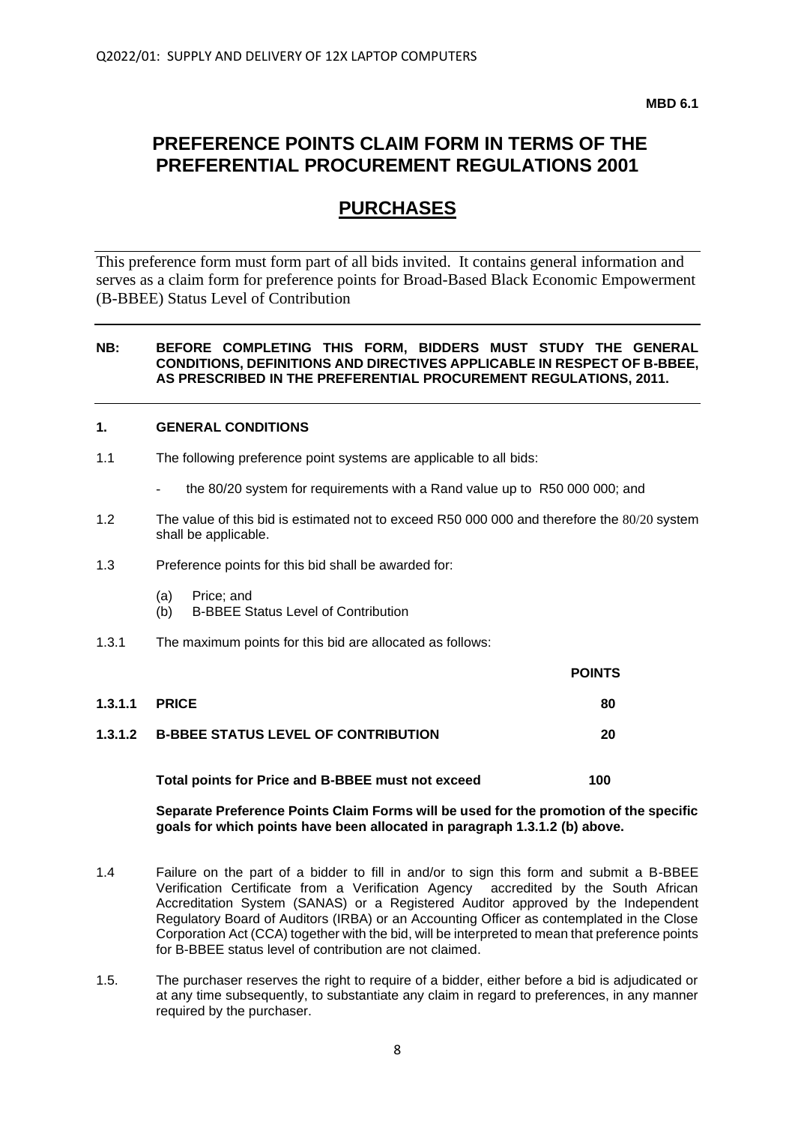**MBD 6.1**

# **PREFERENCE POINTS CLAIM FORM IN TERMS OF THE PREFERENTIAL PROCUREMENT REGULATIONS 2001**

# **PURCHASES**

This preference form must form part of all bids invited. It contains general information and serves as a claim form for preference points for Broad-Based Black Economic Empowerment (B-BBEE) Status Level of Contribution

#### **NB: BEFORE COMPLETING THIS FORM, BIDDERS MUST STUDY THE GENERAL CONDITIONS, DEFINITIONS AND DIRECTIVES APPLICABLE IN RESPECT OF B-BBEE, AS PRESCRIBED IN THE PREFERENTIAL PROCUREMENT REGULATIONS, 2011.**

#### **1. GENERAL CONDITIONS**

- 1.1 The following preference point systems are applicable to all bids:
	- the 80/20 system for requirements with a Rand value up to R50 000 000; and
- 1.2 The value of this bid is estimated not to exceed R50 000 000 and therefore the 80/20 system shall be applicable.
- 1.3 Preference points for this bid shall be awarded for:
	- (a) Price; and
	- (b) B-BBEE Status Level of Contribution
- 1.3.1 The maximum points for this bid are allocated as follows:

|         |                                                    | <b>POINTS</b> |
|---------|----------------------------------------------------|---------------|
| 1.3.1.1 | <b>PRICE</b>                                       | 80            |
|         | <b>1.3.1.2 B-BBEE STATUS LEVEL OF CONTRIBUTION</b> | 20            |
|         |                                                    |               |

**Separate Preference Points Claim Forms will be used for the promotion of the specific** 

**goals for which points have been allocated in paragraph 1.3.1.2 (b) above.**

**Total points for Price and B-BBEE must not exceed 100**

- 1.4 Failure on the part of a bidder to fill in and/or to sign this form and submit a B-BBEE Verification Certificate from a Verification Agency accredited by the South African Accreditation System (SANAS) or a Registered Auditor approved by the Independent Regulatory Board of Auditors (IRBA) or an Accounting Officer as contemplated in the Close Corporation Act (CCA) together with the bid, will be interpreted to mean that preference points for B-BBEE status level of contribution are not claimed.
- 1.5. The purchaser reserves the right to require of a bidder, either before a bid is adjudicated or at any time subsequently, to substantiate any claim in regard to preferences, in any manner required by the purchaser.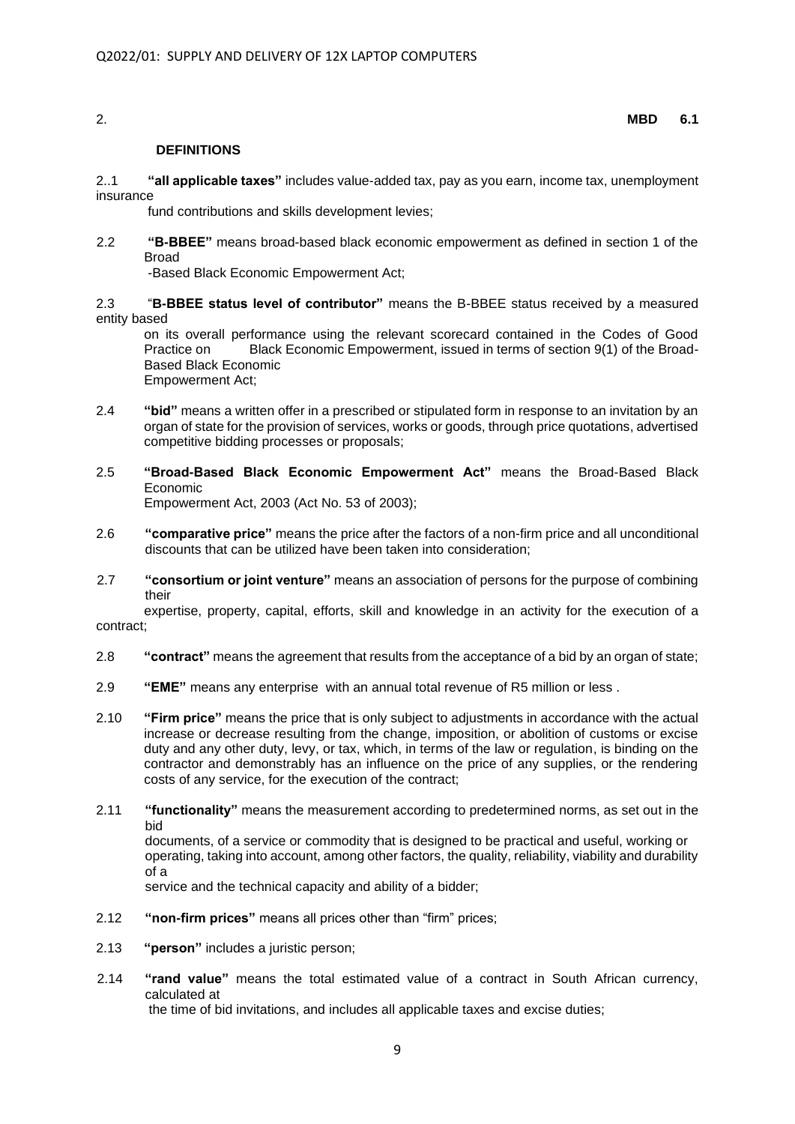#### 2. **MBD 6.1**

#### **DEFINITIONS**

2..1 **"all applicable taxes"** includes value-added tax, pay as you earn, income tax, unemployment insurance

fund contributions and skills development levies;

2.2 **"B-BBEE"** means broad-based black economic empowerment as defined in section 1 of the Broad

-Based Black Economic Empowerment Act;

2.3 "**B-BBEE status level of contributor"** means the B-BBEE status received by a measured entity based

on its overall performance using the relevant scorecard contained in the Codes of Good Practice on Black Economic Empowerment, issued in terms of section 9(1) of the Broad-Based Black Economic Empowerment Act;

- 2.4 **"bid"** means a written offer in a prescribed or stipulated form in response to an invitation by an organ of state for the provision of services, works or goods, through price quotations, advertised competitive bidding processes or proposals;
- 2.5 **"Broad-Based Black Economic Empowerment Act"** means the Broad-Based Black Economic Empowerment Act, 2003 (Act No. 53 of 2003);
- 2.6 **"comparative price"** means the price after the factors of a non-firm price and all unconditional discounts that can be utilized have been taken into consideration;
- 2.7 **"consortium or joint venture"** means an association of persons for the purpose of combining their

expertise, property, capital, efforts, skill and knowledge in an activity for the execution of a contract;

- 2.8 **"contract"** means the agreement that results from the acceptance of a bid by an organ of state;
- 2.9 **"EME"** means any enterprise with an annual total revenue of R5 million or less .
- 2.10 **"Firm price"** means the price that is only subject to adjustments in accordance with the actual increase or decrease resulting from the change, imposition, or abolition of customs or excise duty and any other duty, levy, or tax, which, in terms of the law or regulation, is binding on the contractor and demonstrably has an influence on the price of any supplies, or the rendering costs of any service, for the execution of the contract;
- 2.11 **"functionality"** means the measurement according to predetermined norms, as set out in the bid documents, of a service or commodity that is designed to be practical and useful, working or operating, taking into account, among other factors, the quality, reliability, viability and durability

service and the technical capacity and ability of a bidder;

- 2.12 **"non-firm prices"** means all prices other than "firm" prices;
- 2.13 **"person"** includes a juristic person;

of a

2.14 **"rand value"** means the total estimated value of a contract in South African currency, calculated at

the time of bid invitations, and includes all applicable taxes and excise duties;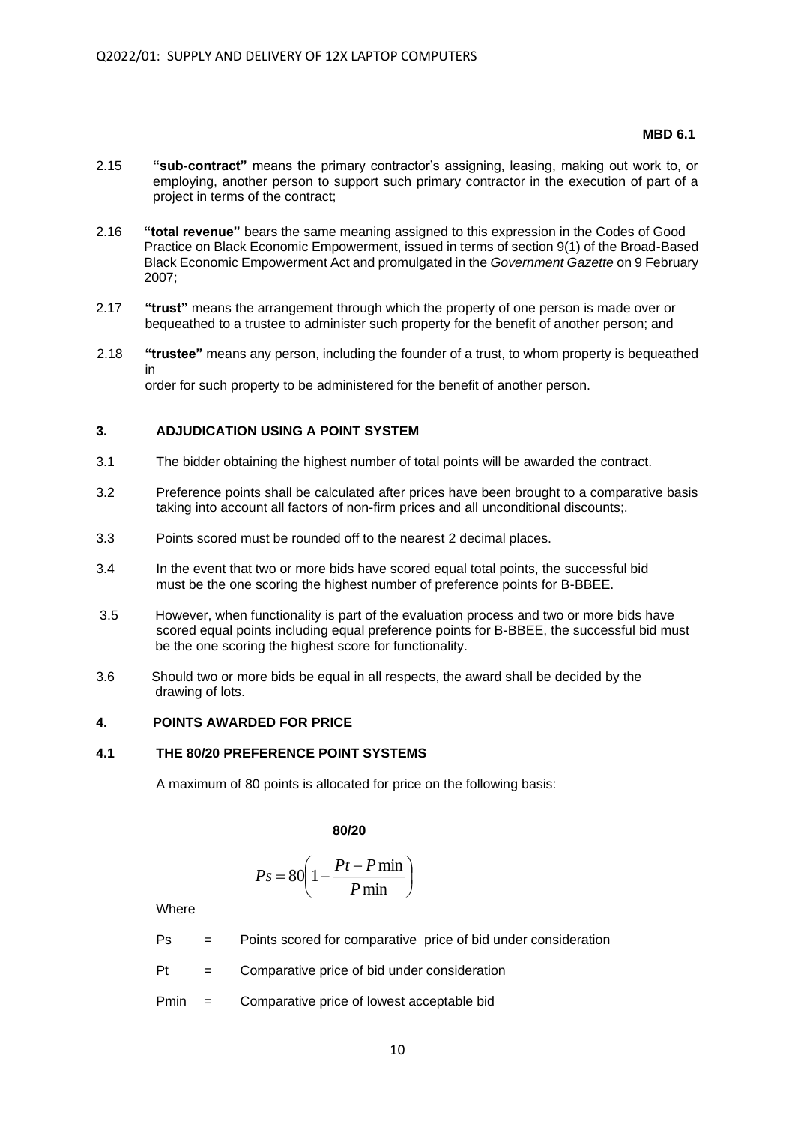#### **MBD 6.1 MBD 6.1**

- 2.15 **"sub-contract"** means the primary contractor's assigning, leasing, making out work to, or employing, another person to support such primary contractor in the execution of part of a project in terms of the contract;
- 2.16 **"total revenue"** bears the same meaning assigned to this expression in the Codes of Good Practice on Black Economic Empowerment, issued in terms of section 9(1) of the Broad-Based Black Economic Empowerment Act and promulgated in the *Government Gazette* on 9 February 2007;
- 2.17 **"trust"** means the arrangement through which the property of one person is made over or bequeathed to a trustee to administer such property for the benefit of another person; and
- 2.18 **"trustee"** means any person, including the founder of a trust, to whom property is bequeathed in order for such property to be administered for the benefit of another person.

#### **3. ADJUDICATION USING A POINT SYSTEM**

- 3.1 The bidder obtaining the highest number of total points will be awarded the contract.
- 3.2 Preference points shall be calculated after prices have been brought to a comparative basis taking into account all factors of non-firm prices and all unconditional discounts;.
- 3.3 Points scored must be rounded off to the nearest 2 decimal places.
- 3.4 In the event that two or more bids have scored equal total points, the successful bid must be the one scoring the highest number of preference points for B-BBEE.
- 3.5 However, when functionality is part of the evaluation process and two or more bids have scored equal points including equal preference points for B-BBEE, the successful bid must be the one scoring the highest score for functionality.
- 3.6 Should two or more bids be equal in all respects, the award shall be decided by the drawing of lots.

#### **4. POINTS AWARDED FOR PRICE**

#### **4.1 THE 80/20 PREFERENCE POINT SYSTEMS**

A maximum of 80 points is allocated for price on the following basis:

**80/20**

$$
Ps = 80 \left( 1 - \frac{Pt - P \min}{P \min} \right)
$$

**Where** 

- Ps = Points scored for comparative price of bid under consideration
- $Pt =$  Comparative price of bid under consideration
- Pmin = Comparative price of lowest acceptable bid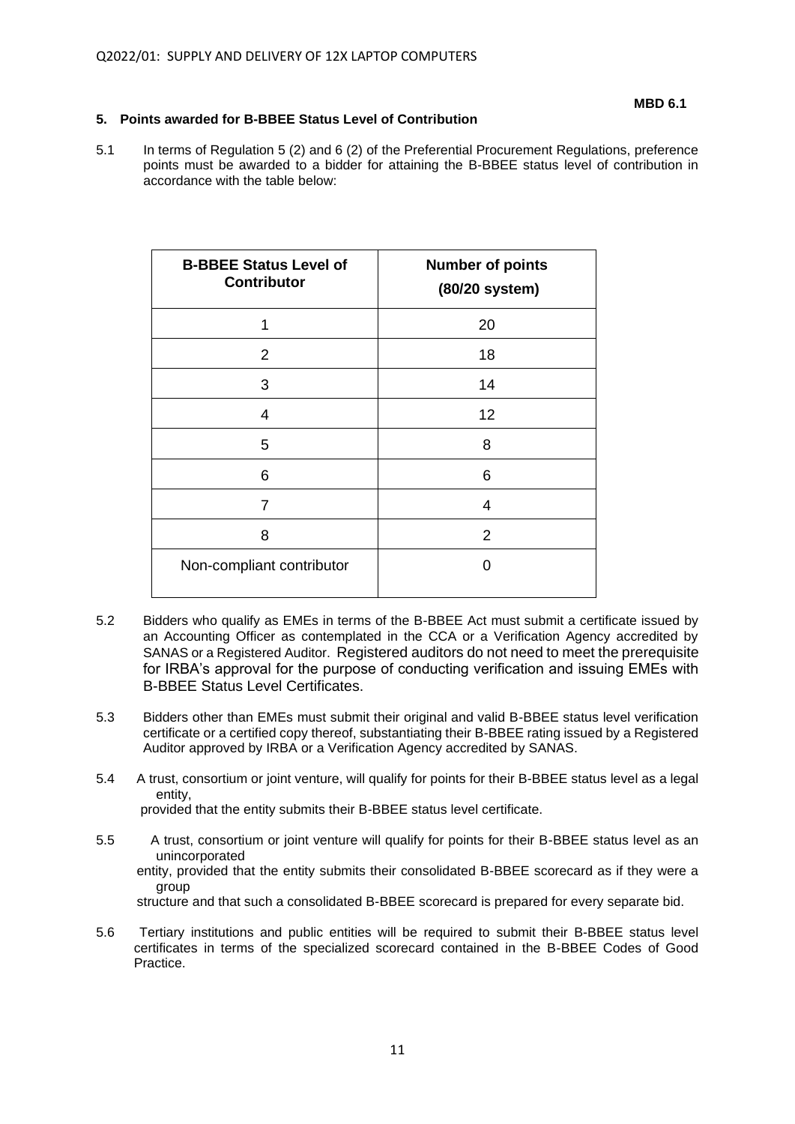### **5. Points awarded for B-BBEE Status Level of Contribution**

5.1 In terms of Regulation 5 (2) and 6 (2) of the Preferential Procurement Regulations, preference points must be awarded to a bidder for attaining the B-BBEE status level of contribution in accordance with the table below:

| <b>B-BBEE Status Level of</b><br><b>Contributor</b> | <b>Number of points</b><br>(80/20 system) |
|-----------------------------------------------------|-------------------------------------------|
| 1                                                   | 20                                        |
| $\overline{2}$                                      | 18                                        |
| 3                                                   | 14                                        |
| 4                                                   | 12                                        |
| 5                                                   | 8                                         |
| 6                                                   | 6                                         |
| 7                                                   | 4                                         |
| 8                                                   | $\overline{2}$                            |
| Non-compliant contributor                           | O                                         |

- 5.2 Bidders who qualify as EMEs in terms of the B-BBEE Act must submit a certificate issued by an Accounting Officer as contemplated in the CCA or a Verification Agency accredited by SANAS or a Registered Auditor. Registered auditors do not need to meet the prerequisite for IRBA's approval for the purpose of conducting verification and issuing EMEs with B-BBEE Status Level Certificates.
- 5.3 Bidders other than EMEs must submit their original and valid B-BBEE status level verification certificate or a certified copy thereof, substantiating their B-BBEE rating issued by a Registered Auditor approved by IRBA or a Verification Agency accredited by SANAS.
- 5.4 A trust, consortium or joint venture, will qualify for points for their B-BBEE status level as a legal entity, provided that the entity submits their B-BBEE status level certificate.
- 5.5 A trust, consortium or joint venture will qualify for points for their B-BBEE status level as an unincorporated entity, provided that the entity submits their consolidated B-BBEE scorecard as if they were a group structure and that such a consolidated B-BBEE scorecard is prepared for every separate bid.
- 5.6 Tertiary institutions and public entities will be required to submit their B-BBEE status level certificates in terms of the specialized scorecard contained in the B-BBEE Codes of Good Practice.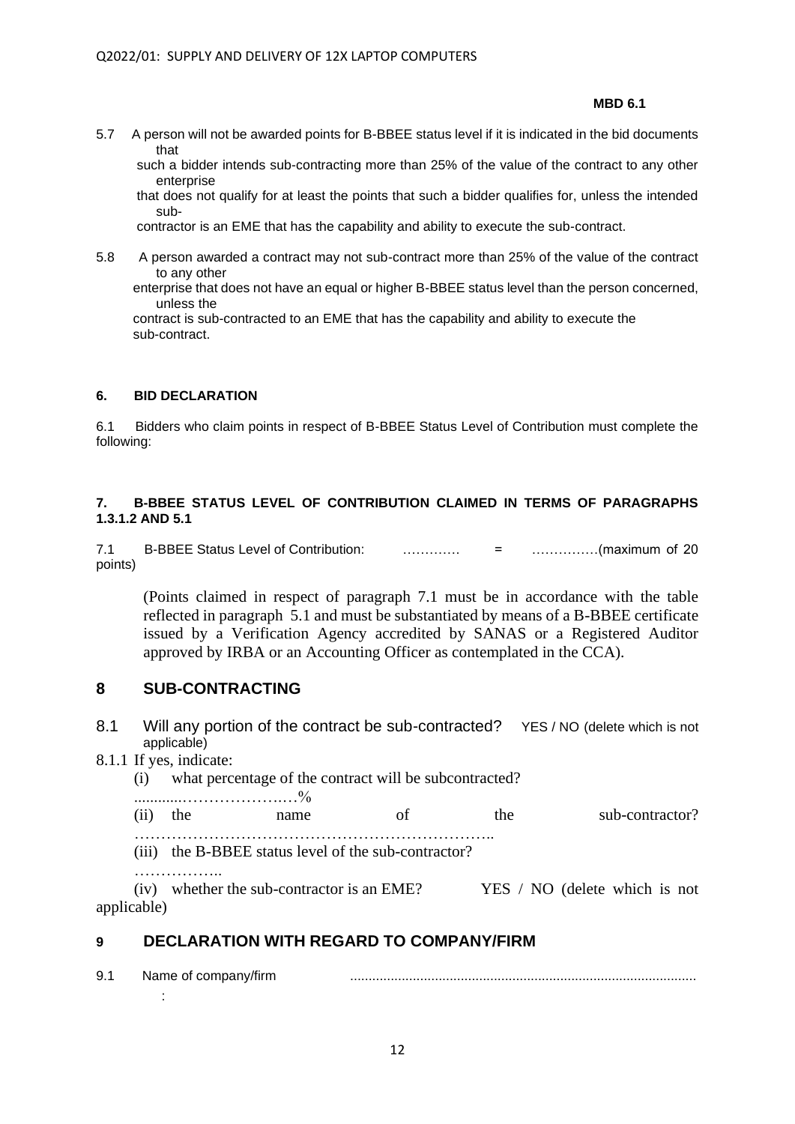**MBD 6.1 MBD 6.1** 

5.7 A person will not be awarded points for B-BBEE status level if it is indicated in the bid documents that

 such a bidder intends sub-contracting more than 25% of the value of the contract to any other enterprise

 that does not qualify for at least the points that such a bidder qualifies for, unless the intended sub-

contractor is an EME that has the capability and ability to execute the sub-contract.

5.8 A person awarded a contract may not sub-contract more than 25% of the value of the contract to any other

 enterprise that does not have an equal or higher B-BBEE status level than the person concerned, unless the

 contract is sub-contracted to an EME that has the capability and ability to execute the sub-contract.

## **6. BID DECLARATION**

6.1 Bidders who claim points in respect of B-BBEE Status Level of Contribution must complete the following:

## **7. B-BBEE STATUS LEVEL OF CONTRIBUTION CLAIMED IN TERMS OF PARAGRAPHS 1.3.1.2 AND 5.1**

7.1 B-BBEE Status Level of Contribution: …………. = ……………(maximum of 20 points)

(Points claimed in respect of paragraph 7.1 must be in accordance with the table reflected in paragraph 5.1 and must be substantiated by means of a B-BBEE certificate issued by a Verification Agency accredited by SANAS or a Registered Auditor approved by IRBA or an Accounting Officer as contemplated in the CCA).

# **8 SUB-CONTRACTING**

- 8.1 Will any portion of the contract be sub-contracted? YES / NO (delete which is not applicable)
- 8.1.1 If yes, indicate:
	- (i) what percentage of the contract will be subcontracted?

............……………….…% (ii) the name of the sub-contractor? …………………………………………………………..

(iii) the B-BBEE status level of the sub-contractor?

………………

(iv) whether the sub-contractor is an EME?  $YES / NO$  (delete which is not applicable)

# **9 DECLARATION WITH REGARD TO COMPANY/FIRM**

9.1 Name of company/firm .............................................................................................. :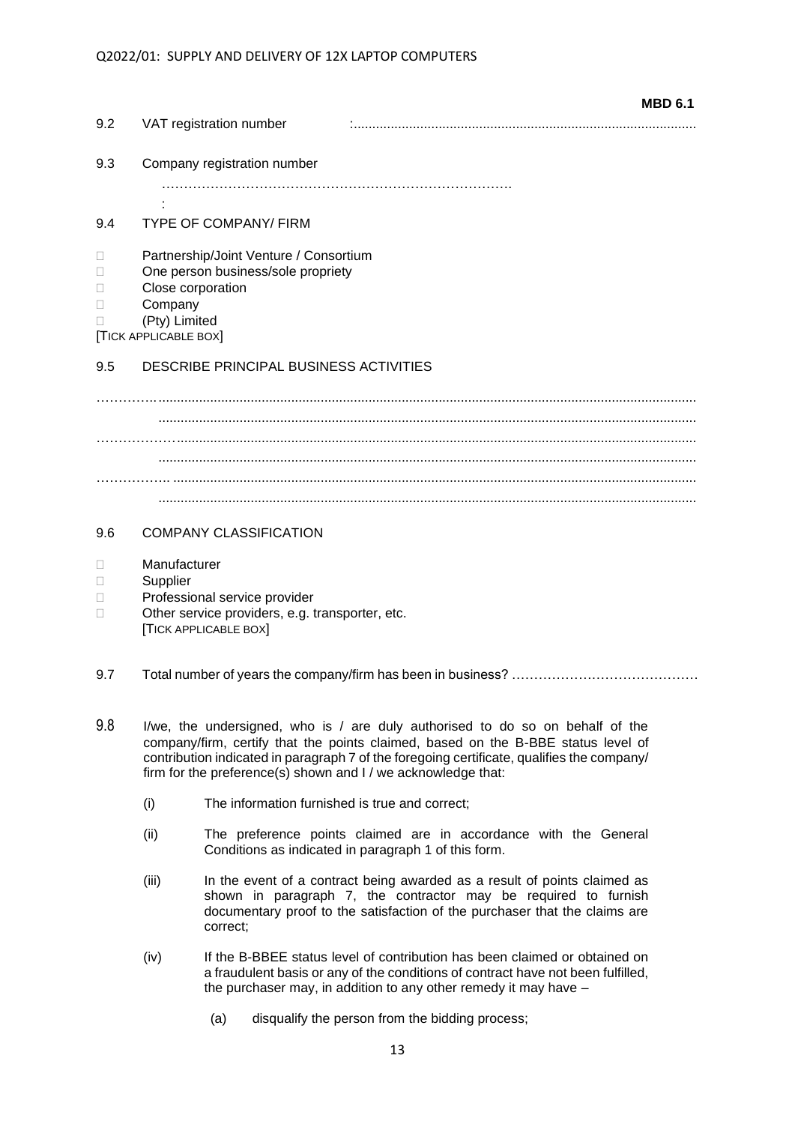| 9.2    | <b>MBD 6.1</b><br>VAT registration number |
|--------|-------------------------------------------|
|        |                                           |
| 9.3    | Company registration number               |
|        |                                           |
| 9.4    | <b>TYPE OF COMPANY/ FIRM</b>              |
| $\Box$ | Partnership/Joint Venture / Consortium    |
| $\Box$ | One person business/sole propriety        |
| □      | Close corporation                         |
| $\Box$ | Company                                   |
| $\Box$ | (Pty) Limited                             |
|        | [TICK APPLICABLE BOX]                     |
| 9.5    | DESCRIBE PRINCIPAL BUSINESS ACTIVITIES    |
|        |                                           |
|        |                                           |
|        |                                           |
|        |                                           |
|        |                                           |
|        |                                           |
| 9.6    | <b>COMPANY CLASSIFICATION</b>             |

- Manufacturer
- □ Supplier
- D Professional service provider
- □ Other service providers, e.g. transporter, etc. [TICK APPLICABLE BOX]
- 9.7 Total number of years the company/firm has been in business? ……………………………………
- 9.8 I/we, the undersigned, who is / are duly authorised to do so on behalf of the company/firm, certify that the points claimed, based on the B-BBE status level of contribution indicated in paragraph 7 of the foregoing certificate, qualifies the company/ firm for the preference(s) shown and I / we acknowledge that:
	- (i) The information furnished is true and correct;
	- (ii) The preference points claimed are in accordance with the General Conditions as indicated in paragraph 1 of this form.
	- (iii) In the event of a contract being awarded as a result of points claimed as shown in paragraph 7, the contractor may be required to furnish documentary proof to the satisfaction of the purchaser that the claims are correct;
	- (iv) If the B-BBEE status level of contribution has been claimed or obtained on a fraudulent basis or any of the conditions of contract have not been fulfilled, the purchaser may, in addition to any other remedy it may have –
		- (a) disqualify the person from the bidding process: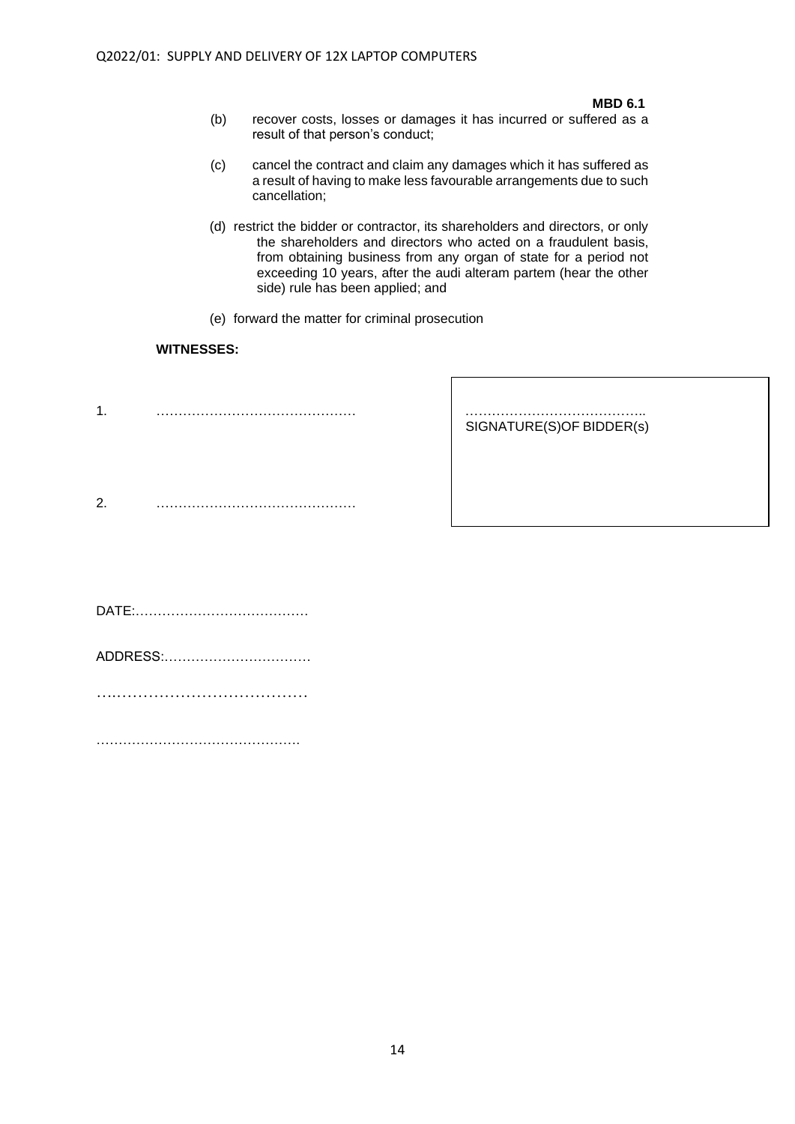#### **MBD 6.1**

- (b) recover costs, losses or damages it has incurred or suffered as a result of that person's conduct;
- (c) cancel the contract and claim any damages which it has suffered as a result of having to make less favourable arrangements due to such cancellation;
- (d) restrict the bidder or contractor, its shareholders and directors, or only the shareholders and directors who acted on a fraudulent basis, from obtaining business from any organ of state for a period not exceeding 10 years, after the audi alteram partem (hear the other side) rule has been applied; and
- (e) forward the matter for criminal prosecution

### **WITNESSES:**

1. ……………………………………… …………………………………..

SIGNATURE(S)OF BIDDER(s)

2. ………………………………………

DATE:…………………………………

ADDRESS:……………………………

……………………………………………

……………………………………….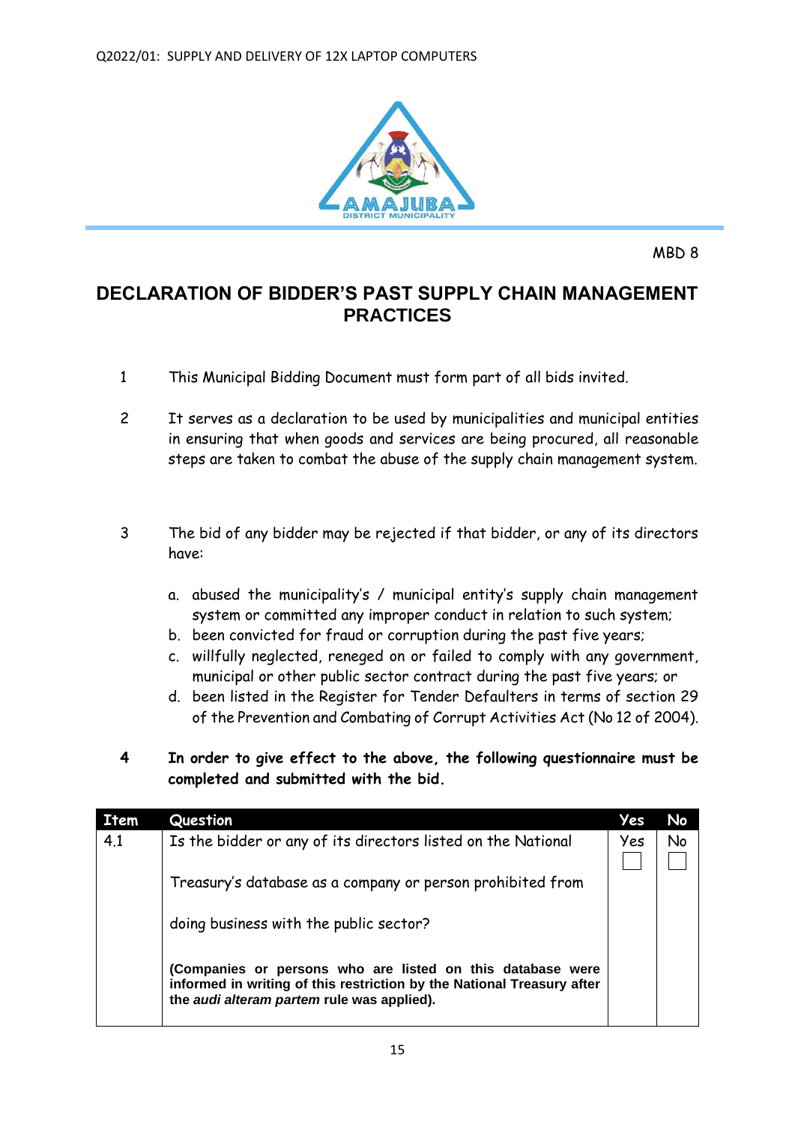

# **DECLARATION OF BIDDER'S PAST SUPPLY CHAIN MANAGEMENT PRACTICES**

- 1 This Municipal Bidding Document must form part of all bids invited.
- 2 It serves as a declaration to be used by municipalities and municipal entities in ensuring that when goods and services are being procured, all reasonable steps are taken to combat the abuse of the supply chain management system.
- 3 The bid of any bidder may be rejected if that bidder, or any of its directors have:
	- a. abused the municipality's / municipal entity's supply chain management system or committed any improper conduct in relation to such system;
	- b. been convicted for fraud or corruption during the past five years;
	- c. willfully neglected, reneged on or failed to comply with any government, municipal or other public sector contract during the past five years; or
	- d. been listed in the Register for Tender Defaulters in terms of section 29 of the Prevention and Combating of Corrupt Activities Act (No 12 of 2004).
- **4 In order to give effect to the above, the following questionnaire must be completed and submitted with the bid.**

| <b>Item</b> | Question                                                                                                                                                                           | Yes | No |
|-------------|------------------------------------------------------------------------------------------------------------------------------------------------------------------------------------|-----|----|
| 4.1         | Is the bidder or any of its directors listed on the National                                                                                                                       | Yes | No |
|             | Treasury's database as a company or person prohibited from                                                                                                                         |     |    |
|             | doing business with the public sector?                                                                                                                                             |     |    |
|             | (Companies or persons who are listed on this database were<br>informed in writing of this restriction by the National Treasury after<br>the audi alteram partem rule was applied). |     |    |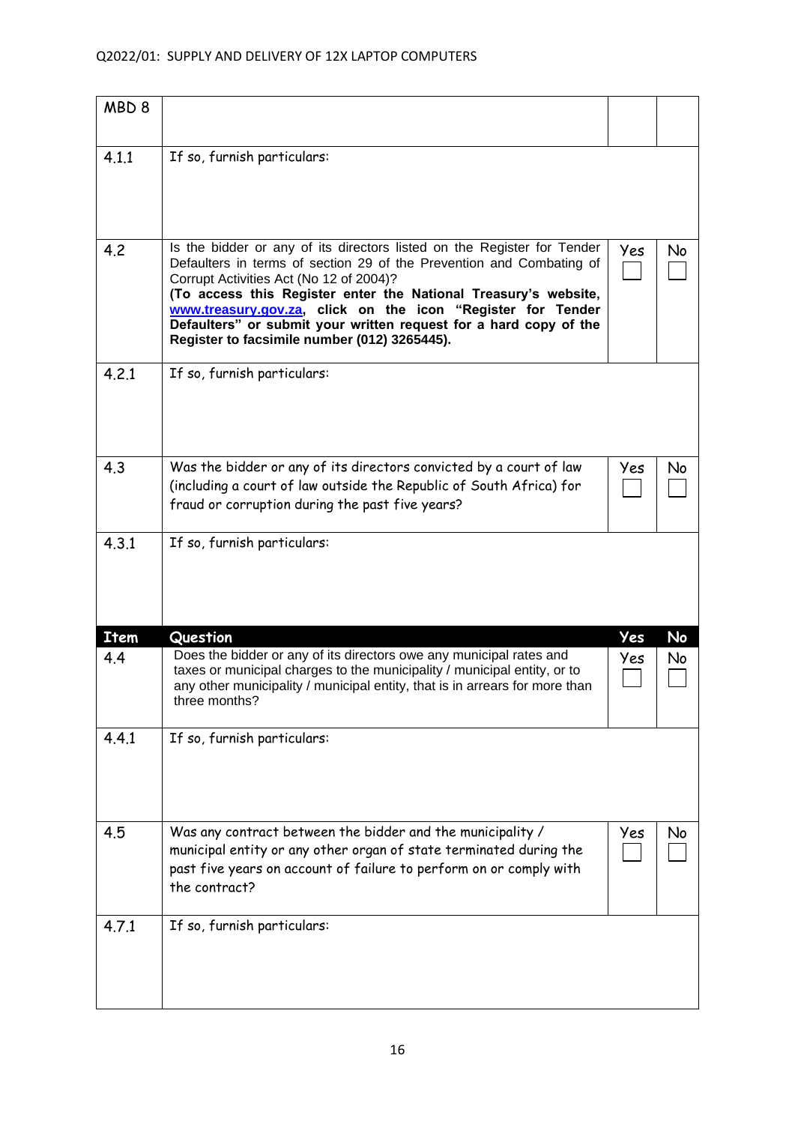# Q2022/01: SUPPLY AND DELIVERY OF 12X LAPTOP COMPUTERS

| MBD <sub>8</sub> |                                                                                                                                                                                                                                                                                                                                                                                                                                                   |     |    |
|------------------|---------------------------------------------------------------------------------------------------------------------------------------------------------------------------------------------------------------------------------------------------------------------------------------------------------------------------------------------------------------------------------------------------------------------------------------------------|-----|----|
| 4.1.1            | If so, furnish particulars:                                                                                                                                                                                                                                                                                                                                                                                                                       |     |    |
| 4.2              | Is the bidder or any of its directors listed on the Register for Tender<br>Defaulters in terms of section 29 of the Prevention and Combating of<br>Corrupt Activities Act (No 12 of 2004)?<br>(To access this Register enter the National Treasury's website,<br>www.treasury.gov.za, click on the icon "Register for Tender<br>Defaulters" or submit your written request for a hard copy of the<br>Register to facsimile number (012) 3265445). | Yes | No |
| 4.2.1            | If so, furnish particulars:                                                                                                                                                                                                                                                                                                                                                                                                                       |     |    |
| 4.3              | Was the bidder or any of its directors convicted by a court of law<br>(including a court of law outside the Republic of South Africa) for<br>fraud or corruption during the past five years?                                                                                                                                                                                                                                                      | Yes | No |
| 4.3.1            | If so, furnish particulars:                                                                                                                                                                                                                                                                                                                                                                                                                       |     |    |
| <b>Item</b>      | Question                                                                                                                                                                                                                                                                                                                                                                                                                                          | Yes | No |
| 4.4              | Does the bidder or any of its directors owe any municipal rates and<br>taxes or municipal charges to the municipality / municipal entity, or to<br>any other municipality / municipal entity, that is in arrears for more than<br>three months?                                                                                                                                                                                                   | Yes | No |
| 4.4.1            | If so, furnish particulars:                                                                                                                                                                                                                                                                                                                                                                                                                       |     |    |
| 4.5              | Was any contract between the bidder and the municipality /<br>municipal entity or any other organ of state terminated during the<br>past five years on account of failure to perform on or comply with<br>the contract?                                                                                                                                                                                                                           | Yes | No |
| 4.7.1            | If so, furnish particulars:                                                                                                                                                                                                                                                                                                                                                                                                                       |     |    |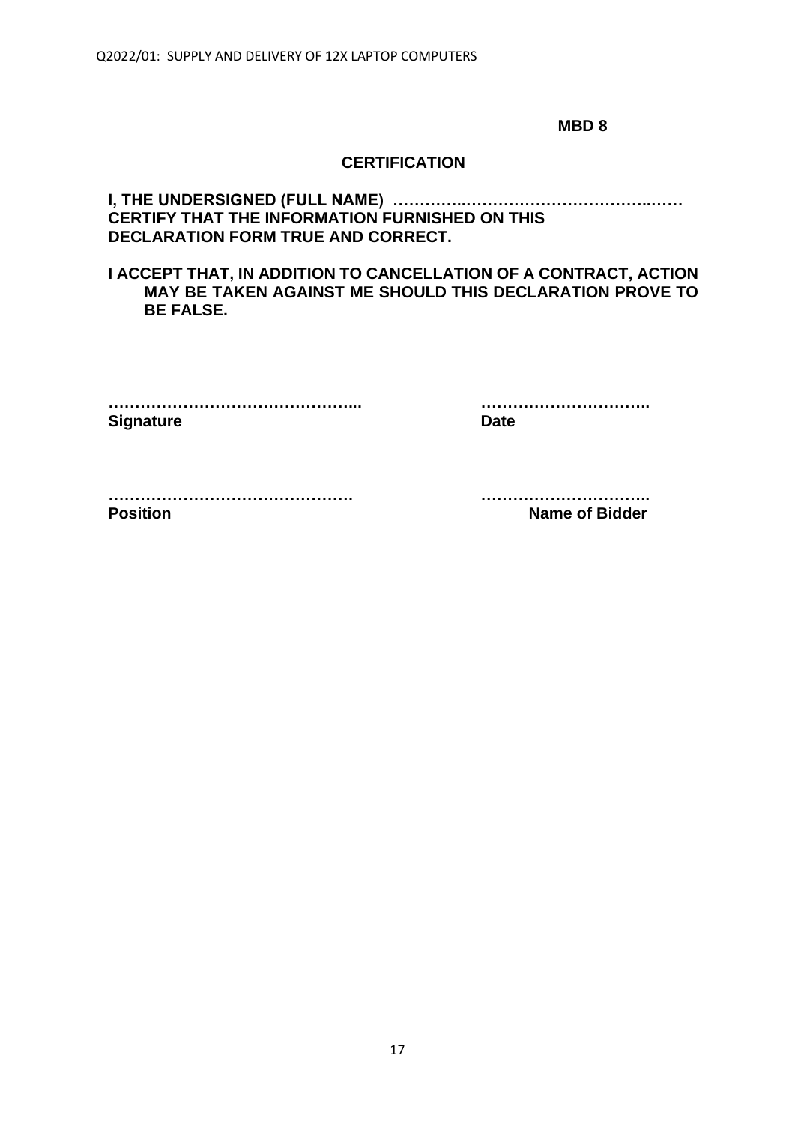# **CERTIFICATION**

# **I, THE UNDERSIGNED (FULL NAME) …………..……………………………..…… CERTIFY THAT THE INFORMATION FURNISHED ON THIS DECLARATION FORM TRUE AND CORRECT.**

# **I ACCEPT THAT, IN ADDITION TO CANCELLATION OF A CONTRACT, ACTION MAY BE TAKEN AGAINST ME SHOULD THIS DECLARATION PROVE TO BE FALSE.**

| <b>Signature</b> | Date |
|------------------|------|

**………………………………………... …………………………..**

**………………………………………. ………………………….. Position Name of Bidder**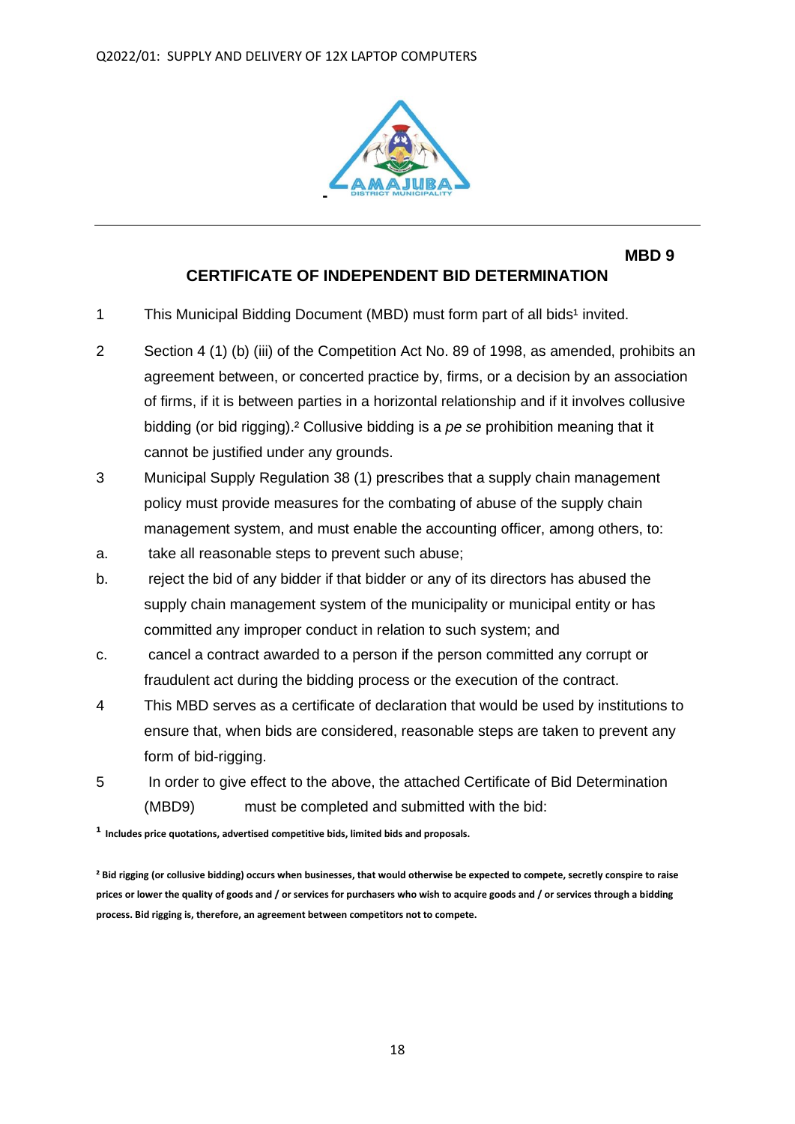

# **CERTIFICATE OF INDEPENDENT BID DETERMINATION**

- 1 This Municipal Bidding Document (MBD) must form part of all bids<sup>1</sup> invited.
- 2 Section 4 (1) (b) (iii) of the Competition Act No. 89 of 1998, as amended, prohibits an agreement between, or concerted practice by, firms, or a decision by an association of firms, if it is between parties in a horizontal relationship and if it involves collusive bidding (or bid rigging).² Collusive bidding is a *pe se* prohibition meaning that it cannot be justified under any grounds.
- 3 Municipal Supply Regulation 38 (1) prescribes that a supply chain management policy must provide measures for the combating of abuse of the supply chain management system, and must enable the accounting officer, among others, to:
- a. take all reasonable steps to prevent such abuse;
- b. reject the bid of any bidder if that bidder or any of its directors has abused the supply chain management system of the municipality or municipal entity or has committed any improper conduct in relation to such system; and
- c. cancel a contract awarded to a person if the person committed any corrupt or fraudulent act during the bidding process or the execution of the contract.
- 4 This MBD serves as a certificate of declaration that would be used by institutions to ensure that, when bids are considered, reasonable steps are taken to prevent any form of bid-rigging.
- 5 In order to give effect to the above, the attached Certificate of Bid Determination (MBD9) must be completed and submitted with the bid:

**¹ Includes price quotations, advertised competitive bids, limited bids and proposals.**

**² Bid rigging (or collusive bidding) occurs when businesses, that would otherwise be expected to compete, secretly conspire to raise prices or lower the quality of goods and / or services for purchasers who wish to acquire goods and / or services through a bidding process. Bid rigging is, therefore, an agreement between competitors not to compete.**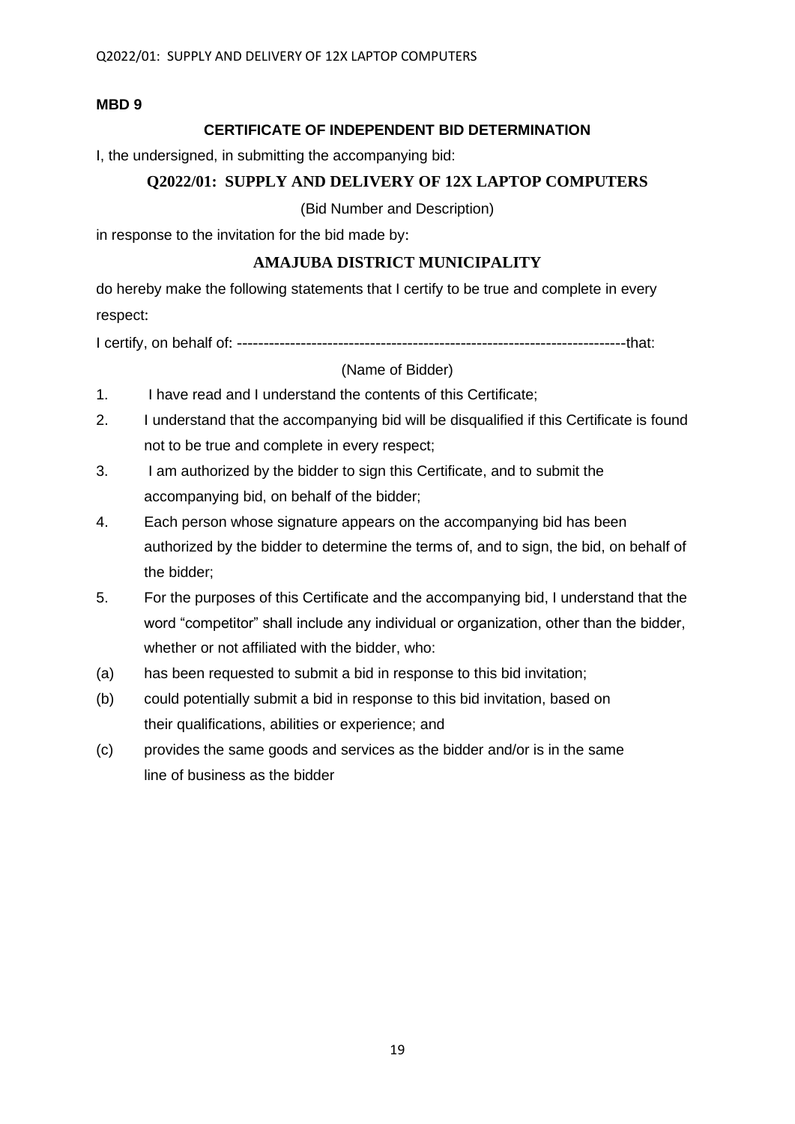## **CERTIFICATE OF INDEPENDENT BID DETERMINATION**

I, the undersigned, in submitting the accompanying bid:

# **Q2022/01: SUPPLY AND DELIVERY OF 12X LAPTOP COMPUTERS**

(Bid Number and Description)

in response to the invitation for the bid made by:

# **AMAJUBA DISTRICT MUNICIPALITY**

do hereby make the following statements that I certify to be true and complete in every respect:

I certify, on behalf of: -------------------------------------------------------------------------that:

## (Name of Bidder)

- 1. I have read and I understand the contents of this Certificate;
- 2. I understand that the accompanying bid will be disqualified if this Certificate is found not to be true and complete in every respect;
- 3. I am authorized by the bidder to sign this Certificate, and to submit the accompanying bid, on behalf of the bidder;
- 4. Each person whose signature appears on the accompanying bid has been authorized by the bidder to determine the terms of, and to sign, the bid, on behalf of the bidder;
- 5. For the purposes of this Certificate and the accompanying bid, I understand that the word "competitor" shall include any individual or organization, other than the bidder, whether or not affiliated with the bidder, who:
- (a) has been requested to submit a bid in response to this bid invitation;
- (b) could potentially submit a bid in response to this bid invitation, based on their qualifications, abilities or experience; and
- (c) provides the same goods and services as the bidder and/or is in the same line of business as the bidder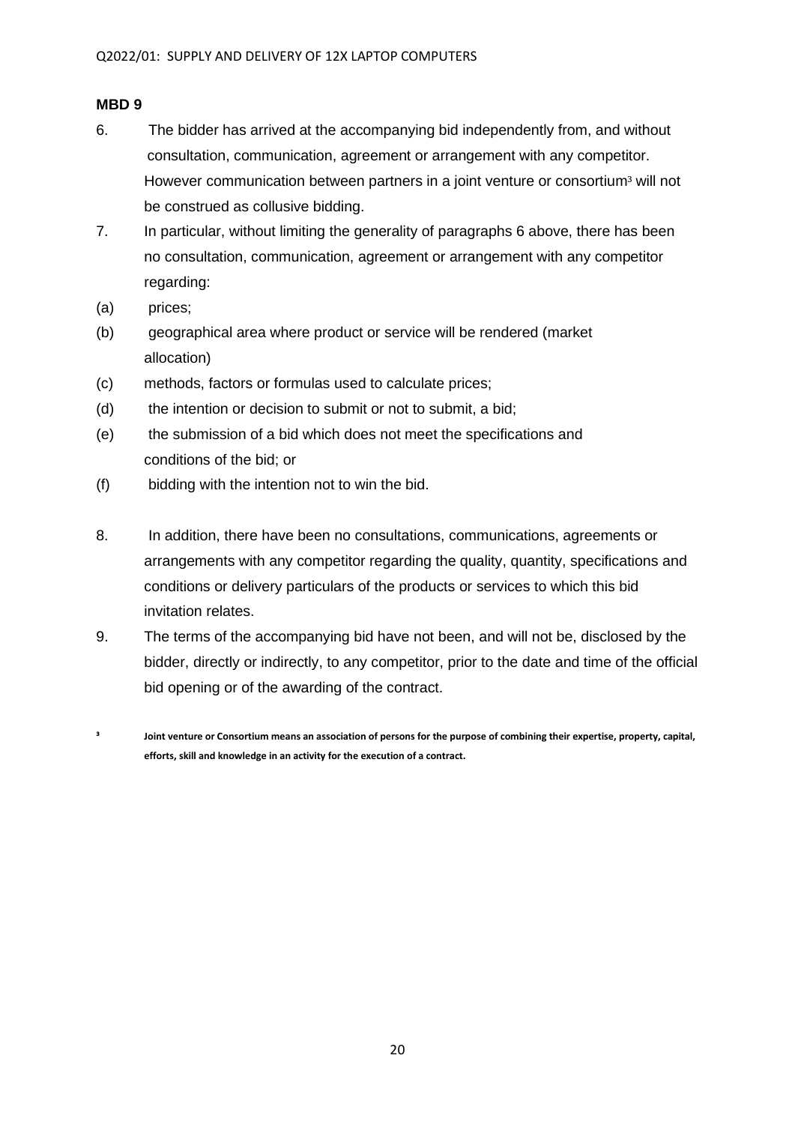- 6. The bidder has arrived at the accompanying bid independently from, and without consultation, communication, agreement or arrangement with any competitor. However communication between partners in a joint venture or consortium<sup>3</sup> will not be construed as collusive bidding.
- 7. In particular, without limiting the generality of paragraphs 6 above, there has been no consultation, communication, agreement or arrangement with any competitor regarding:
- (a) prices;
- (b) geographical area where product or service will be rendered (market allocation)
- (c) methods, factors or formulas used to calculate prices;
- (d) the intention or decision to submit or not to submit, a bid;
- (e) the submission of a bid which does not meet the specifications and conditions of the bid; or
- (f) bidding with the intention not to win the bid.
- 8. In addition, there have been no consultations, communications, agreements or arrangements with any competitor regarding the quality, quantity, specifications and conditions or delivery particulars of the products or services to which this bid invitation relates.
- 9. The terms of the accompanying bid have not been, and will not be, disclosed by the bidder, directly or indirectly, to any competitor, prior to the date and time of the official bid opening or of the awarding of the contract.
- **³ Joint venture or Consortium means an association of persons for the purpose of combining their expertise, property, capital, efforts, skill and knowledge in an activity for the execution of a contract.**